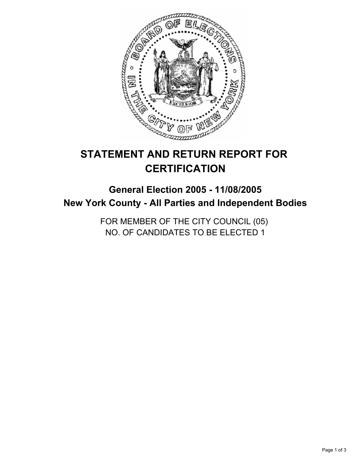

# **STATEMENT AND RETURN REPORT FOR CERTIFICATION**

# **General Election 2005 - 11/08/2005 New York County - All Parties and Independent Bodies**

FOR MEMBER OF THE CITY COUNCIL (05) NO. OF CANDIDATES TO BE ELECTED 1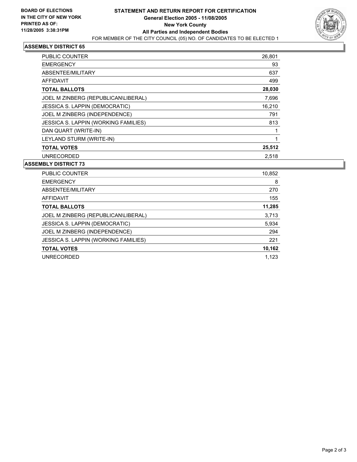

## **ASSEMBLY DISTRICT 65**

| <b>PUBLIC COUNTER</b>                 | 26,801 |
|---------------------------------------|--------|
| <b>EMERGENCY</b>                      | 93     |
| ABSENTEE/MILITARY                     | 637    |
| AFFIDAVIT                             | 499    |
| <b>TOTAL BALLOTS</b>                  | 28,030 |
| JOEL M ZINBERG (REPUBLICAN\LIBERAL)   | 7,696  |
| <b>JESSICA S. LAPPIN (DEMOCRATIC)</b> | 16,210 |
| JOEL M ZINBERG (INDEPENDENCE)         | 791    |
| JESSICA S. LAPPIN (WORKING FAMILIES)  | 813    |
| DAN QUART (WRITE-IN)                  |        |
| LEYLAND STURM (WRITE-IN)              |        |
| <b>TOTAL VOTES</b>                    | 25,512 |
| <b>UNRECORDED</b>                     | 2.518  |

#### **ASSEMBLY DISTRICT 73**

| PUBLIC COUNTER                       | 10,852 |
|--------------------------------------|--------|
| <b>EMERGENCY</b>                     | 8      |
| ABSENTEE/MILITARY                    | 270    |
| AFFIDAVIT                            | 155    |
| <b>TOTAL BALLOTS</b>                 | 11,285 |
| JOEL M ZINBERG (REPUBLICAN\LIBERAL)  | 3,713  |
| JESSICA S. LAPPIN (DEMOCRATIC)       | 5,934  |
| JOEL M ZINBERG (INDEPENDENCE)        | 294    |
| JESSICA S. LAPPIN (WORKING FAMILIES) | 221    |
| <b>TOTAL VOTES</b>                   | 10,162 |
| <b>UNRECORDED</b>                    | 1.123  |